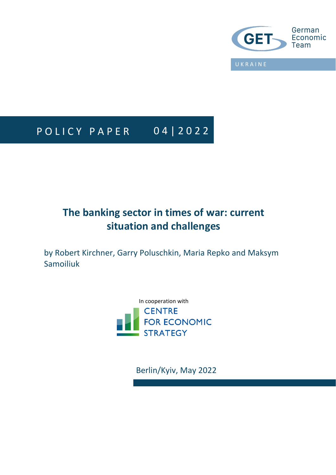

# P O L I C Y P A P E R 0 4 | 2 0 2 2

# **The banking sector in times of war: current situation and challenges**

by Robert Kirchner, Garry Poluschkin, Maria Repko and Maksym Samoiliuk

> In cooperation with**CENTRE FOR ECONOMIC STRATEGY**

> > Berlin/Kyiv, May 2022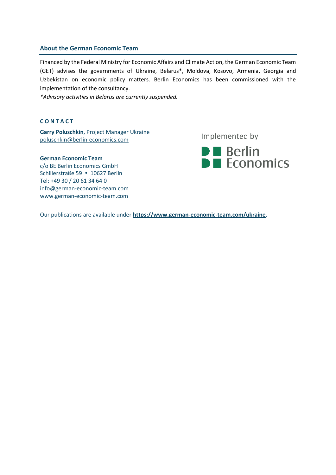# **About the German Economic Team**

Financed by the Federal Ministry for Economic Affairs and Climate Action, the German Economic Team (GET) advises the governments of Ukraine, Belarus\*, Moldova, Kosovo, Armenia, Georgia and Uzbekistan on economic policy matters. Berlin Economics has been commissioned with the implementation of the consultancy.

*\*Advisory activities in Belarus are currently suspended.*

# **C O N T A C T**

**Garry Poluschkin**, Project Manager Ukraine [poluschkin@berlin-economics.com](mailto:poluschkin@berlin-economics.com)

#### **German Economic Team**

c/o BE Berlin Economics GmbH Schillerstraße 59 · 10627 Berlin Tel: +49 30 / 20 61 34 64 0 info@german-economic-team.com www.german-economic-team.com

Implemented by



Our publications are available under **[https://www.german-economic-team.com/ukraine.](https://www.german-economic-team.com/ukraine)**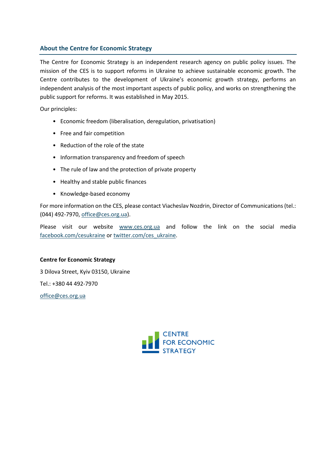# **About the Centre for Economic Strategy**

The Centre for Economic Strategy is an independent research agency on public policy issues. The mission of the CES is to support reforms in Ukraine to achieve sustainable economic growth. The Centre contributes to the development of Ukraine's economic growth strategy, performs an independent analysis of the most important aspects of public policy, and works on strengthening the public support for reforms. It was established in May 2015.

Our principles:

- Economic freedom (liberalisation, deregulation, privatisation)
- Free and fair competition
- Reduction of the role of the state
- Information transparency and freedom of speech
- The rule of law and the protection of private property
- Healthy and stable public finances
- Knowledge-based economy

For more information on the CES, please contact Viacheslav Nozdrin, Director of Communications (tel.: (044) 492-7970[, office@ces.org.ua\)](mailto:office@ces.org.ua).

Please visit our website [www.ces.org.ua](file:///C:/Users/david.saha/AppData/Local/Microsoft/Windows/INetCache/Content.Outlook/EWQ7YIIN/www.ces.org.ua) and follow the link on the social media [facebook.com/cesukraine](https://www.facebook.com/cesukraine) or [twitter.com/ces\\_ukraine.](https://twitter.com/ces_ukraine)

# **Centre for Economic Strategy**

3 Dilova Street, Kyiv 03150, Ukraine Tel.: +380 44 492-7970

[office@ces.org.ua](mailto:office@ces.org.ua)

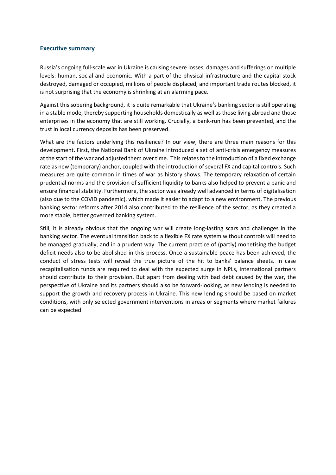# **Executive summary**

Russia's ongoing full-scale war in Ukraine is causing severe losses, damages and sufferings on multiple levels: human, social and economic. With a part of the physical infrastructure and the capital stock destroyed, damaged or occupied, millions of people displaced, and important trade routes blocked, it is not surprising that the economy is shrinking at an alarming pace.

Against this sobering background, it is quite remarkable that Ukraine's banking sector is still operating in a stable mode, thereby supporting households domestically as well as those living abroad and those enterprises in the economy that are still working. Crucially, a bank-run has been prevented, and the trust in local currency deposits has been preserved.

What are the factors underlying this resilience? In our view, there are three main reasons for this development. First, the National Bank of Ukraine introduced a set of anti-crisis emergency measures at the start of the war and adjusted them over time. This relates to the introduction of a fixed exchange rate as new (temporary) anchor, coupled with the introduction of several FX and capital controls. Such measures are quite common in times of war as history shows. The temporary relaxation of certain prudential norms and the provision of sufficient liquidity to banks also helped to prevent a panic and ensure financial stability. Furthermore, the sector was already well advanced in terms of digitalisation (also due to the COVID pandemic), which made it easier to adapt to a new environment. The previous banking sector reforms after 2014 also contributed to the resilience of the sector, as they created a more stable, better governed banking system.

Still, it is already obvious that the ongoing war will create long-lasting scars and challenges in the banking sector. The eventual transition back to a flexible FX rate system without controls will need to be managed gradually, and in a prudent way. The current practice of (partly) monetising the budget deficit needs also to be abolished in this process. Once a sustainable peace has been achieved, the conduct of stress tests will reveal the true picture of the hit to banks' balance sheets. In case recapitalisation funds are required to deal with the expected surge in NPLs, international partners should contribute to their provision. But apart from dealing with bad debt caused by the war, the perspective of Ukraine and its partners should also be forward-looking, as new lending is needed to support the growth and recovery process in Ukraine. This new lending should be based on market conditions, with only selected government interventions in areas or segments where market failures can be expected.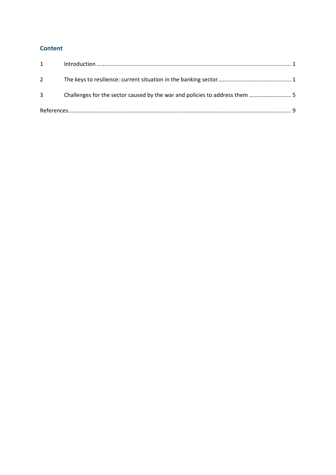# **Content**

| $1 \quad \blacksquare$ |  |  |
|------------------------|--|--|
| $2^{\circ}$            |  |  |
| 3 <sup>7</sup>         |  |  |
|                        |  |  |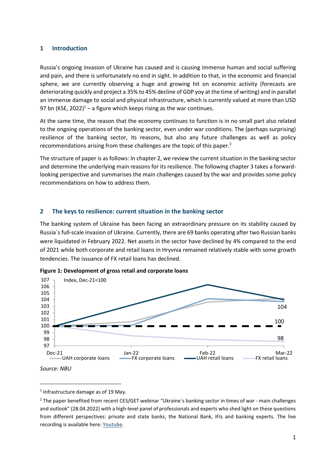# <span id="page-5-0"></span>**1 Introduction**

Russia's ongoing invasion of Ukraine has caused and is causing immense human and social suffering and pain, and there is unfortunately no end in sight. In addition to that, in the economic and financial sphere, we are currently observing a huge and growing hit on economic activity (forecasts are deteriorating quickly and project a 35% to 45% decline of GDP yoy at the time of writing) and in parallel an immense damage to social and physical infrastructure, which is currently valued at more than USD 97 bn (KSE, 2022)<sup>1</sup> – a figure which keeps rising as the war continues.

At the same time, the reason that the economy continues to function is in no small part also related to the ongoing operations of the banking sector, even under war conditions. The (perhaps surprising) resilience of the banking sector, its reasons, but also any future challenges as well as policy recommendations arising from these challenges are the topic of this paper.<sup>2</sup>

The structure of paper is as follows: In chapter 2, we review the current situation in the banking sector and determine the underlying main reasons for its resilience. The following chapter 3 takes a forwardlooking perspective and summarises the main challenges caused by the war and provides some policy recommendations on how to address them.

# <span id="page-5-1"></span>**2 The keys to resilience: current situation in the banking sector**

The banking system of Ukraine has been facing an extraordinary pressure on its stability caused by Russia`s full-scale invasion of Ukraine. Currently, there are 69 banks operating after two Russian banks were liquidated in February 2022. Net assets in the sector have declined by 4% compared to the end of 2021 while both corporate and retail loans in Hryvnia remained relatively stable with some growth tendencies. The issuance of FX retail loans has declined.





<sup>&</sup>lt;sup>1</sup> Infrastructure damage as of 19 May.

<sup>&</sup>lt;sup>2</sup> The paper benefited from recent CES/GET webinar "Ukraine`s banking sector in times of war - main challenges and outlook" (28.04.2022) with a high-level panel of professionals and experts who shed light on these questions from different perspectives: private and state banks, the National Bank, IFIs and banking experts. The live recording is available here: [Youtube.](https://www.youtube.com/watch?v=VG9NTU8gxbg)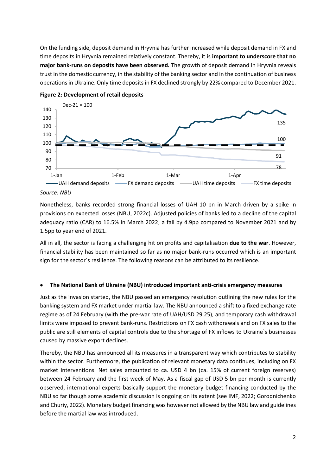On the funding side, deposit demand in Hryvnia has further increased while deposit demand in FX and time deposits in Hryvnia remained relatively constant. Thereby, it is **important to underscore that no major bank-runs on deposits have been observed.** The growth of deposit demand in Hryvnia reveals trust in the domestic currency, in the stability of the banking sector and in the continuation of business operations in Ukraine. Only time deposits in FX declined strongly by 22% compared to December 2021.





# *Source: NBU*

Nonetheless, banks recorded strong financial losses of UAH 10 bn in March driven by a spike in provisions on expected losses (NBU, 2022c). Adjusted policies of banks led to a decline of the capital adequacy ratio (CAR) to 16.5% in March 2022; a fall by 4.9pp compared to November 2021 and by 1.5pp to year end of 2021.

All in all, the sector is facing a challenging hit on profits and capitalisation **due to the war**. However, financial stability has been maintained so far as no major bank-runs occurred which is an important sign for the sector`s resilience. The following reasons can be attributed to its resilience.

# • **The National Bank of Ukraine (NBU) introduced important anti-crisis emergency measures**

Just as the invasion started, the NBU passed an emergency resolution outlining the new rules for the banking system and FX market under martial law. The NBU announced a shift to a fixed exchange rate regime as of 24 February (with the pre-war rate of UAH/USD 29.25), and temporary cash withdrawal limits were imposed to prevent bank-runs. Restrictions on FX cash withdrawals and on FX sales to the public are still elements of capital controls due to the shortage of FX inflows to Ukraine`s businesses caused by massive export declines.

Thereby, the NBU has announced all its measures in a transparent way which contributes to stability within the sector. Furthermore, the publication of relevant monetary data continues, including on FX market interventions. Net sales amounted to ca. USD 4 bn (ca. 15% of current foreign reserves) between 24 February and the first week of May. As a fiscal gap of USD 5 bn per month is currently observed, international experts basically support the monetary budget financing conducted by the NBU so far though some academic discussion is ongoing on its extent (see IMF, 2022; Gorodnichenko and Churiy, 2022). Monetary budget financing was however not allowed by the NBU law and guidelines before the martial law was introduced.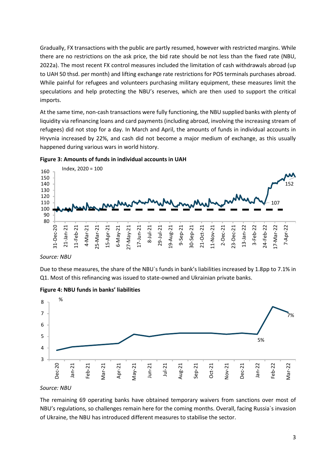Gradually, FX transactions with the public are partly resumed, however with restricted margins. While there are no restrictions on the ask price, the bid rate should be not less than the fixed rate (NBU, 2022a). The most recent FX control measures included the limitation of cash withdrawals abroad (up to UAH 50 thsd. per month) and lifting exchange rate restrictions for POS terminals purchases abroad. While painful for refugees and volunteers purchasing military equipment, these measures limit the speculations and help protecting the NBU's reserves, which are then used to support the critical imports.

At the same time, non-cash transactions were fully functioning, the NBU supplied banks with plenty of liquidity via refinancing loans and card payments (including abroad, involving the increasing stream of refugees) did not stop for a day. In March and April, the amounts of funds in individual accounts in Hryvnia increased by 22%, and cash did not become a major medium of exchange, as this usually happened during various wars in world history.





*Source: NBU*

Due to these measures, the share of the NBU`s funds in bank's liabilities increased by 1.8pp to 7.1% in Q1. Most of this refinancing was issued to state-owned and Ukrainian private banks.





*Source: NBU*

The remaining 69 operating banks have obtained temporary waivers from sanctions over most of NBU's regulations, so challenges remain here for the coming months. Overall, facing Russia`s invasion of Ukraine, the NBU has introduced different measures to stabilise the sector.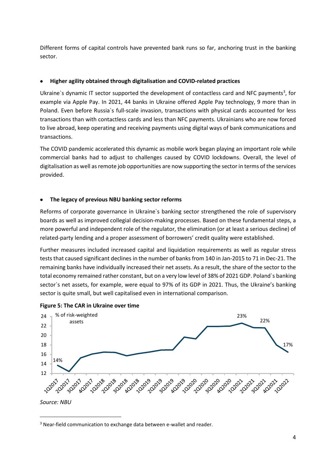Different forms of capital controls have prevented bank runs so far, anchoring trust in the banking sector.

# • **Higher agility obtained through digitalisation and COVID-related practices**

Ukraine`s dynamic IT sector supported the development of contactless card and NFC payments<sup>3</sup>, for example via Apple Pay. In 2021, 44 banks in Ukraine offered Apple Pay technology, 9 more than in Poland. Even before Russia`s full-scale invasion, transactions with physical cards accounted for less transactions than with contactless cards and less than NFC payments. Ukrainians who are now forced to live abroad, keep operating and receiving payments using digital ways of bank communications and transactions.

The COVID pandemic accelerated this dynamic as mobile work began playing an important role while commercial banks had to adjust to challenges caused by COVID lockdowns. Overall, the level of digitalisation as well as remote job opportunities are now supporting the sector in terms of the services provided.

# • **The legacy of previous NBU banking sector reforms**

Reforms of corporate governance in Ukraine`s banking sector strengthened the role of supervisory boards as well as improved collegial decision-making processes. Based on these fundamental steps, a more powerful and independent role of the regulator, the elimination (or at least a serious decline) of related-party lending and a proper assessment of borrowers' credit quality were established.

Further measures included increased capital and liquidation requirements as well as regular stress tests that caused significant declines in the number of banks from 140 in Jan-2015 to 71 in Dec-21. The remaining banks have individually increased their net assets. As a result, the share of the sector to the total economy remained rather constant, but on a very low level of 38% of 2021 GDP. Poland`s banking sector`s net assets, for example, were equal to 97% of its GDP in 2021. Thus, the Ukraine's banking sector is quite small, but well capitalised even in international comparison.



#### **Figure 5: The CAR in Ukraine over time**

<sup>&</sup>lt;sup>3</sup> Near-field communication to exchange data between e-wallet and reader.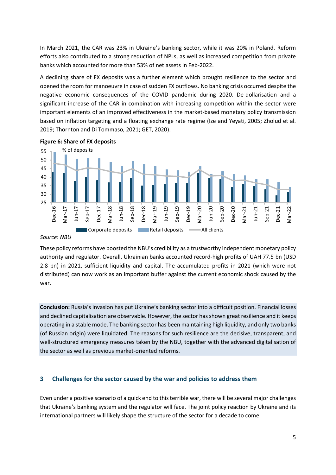In March 2021, the CAR was 23% in Ukraine's banking sector, while it was 20% in Poland. Reform efforts also contributed to a strong reduction of NPLs, as well as increased competition from private banks which accounted for more than 53% of net assets in Feb-2022.

A declining share of FX deposits was a further element which brought resilience to the sector and opened the room for manoeuvre in case of sudden FX outflows. No banking crisis occurred despite the negative economic consequences of the COVID pandemic during 2020. De-dollarisation and a significant increase of the CAR in combination with increasing competition within the sector were important elements of an improved effectiveness in the market-based monetary policy transmission based on inflation targeting and a floating exchange rate regime (Ize and Yeyati, 2005; Zholud et al. 2019; Thornton and Di Tommaso, 2021; GET, 2020).



**Figure 6: Share of FX deposits**

#### *Source*: *NBU*

These policy reforms have boosted the NBU's credibility as a trustworthy independent monetary policy authority and regulator. Overall, Ukrainian banks accounted record-high profits of UAH 77.5 bn (USD 2.8 bn) in 2021, sufficient liquidity and capital. The accumulated profits in 2021 (which were not distributed) can now work as an important buffer against the current economic shock caused by the war.

**Conclusion:** Russia's invasion has put Ukraine's banking sector into a difficult position. Financial losses and declined capitalisation are observable. However, the sector has shown great resilience and it keeps operating in a stable mode. The banking sector has been maintaining high liquidity, and only two banks (of Russian origin) were liquidated. The reasons for such resilience are the decisive, transparent, and well-structured emergency measures taken by the NBU, together with the advanced digitalisation of the sector as well as previous market-oriented reforms.

## <span id="page-9-0"></span>**3 Challenges for the sector caused by the war and policies to address them**

Even under a positive scenario of a quick end to thisterrible war, there will be several major challenges that Ukraine's banking system and the regulator will face. The joint policy reaction by Ukraine and its international partners will likely shape the structure of the sector for a decade to come.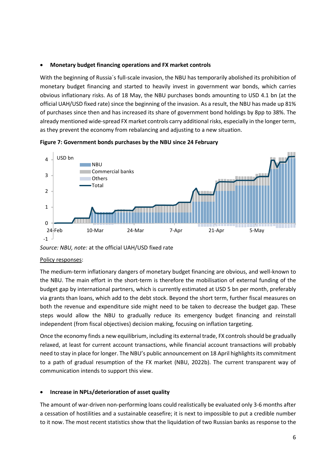# • **Monetary budget financing operations and FX market controls**

With the beginning of Russia´s full-scale invasion, the NBU has temporarily abolished its prohibition of monetary budget financing and started to heavily invest in government war bonds, which carries obvious inflationary risks. As of 18 May, the NBU purchases bonds amounting to USD 4.1 bn (at the official UAH/USD fixed rate) since the beginning of the invasion. As a result, the NBU has made up 81% of purchases since then and has increased its share of government bond holdings by 8pp to 38%. The already mentioned wide-spread FX market controls carry additional risks, especially in the longer term, as they prevent the economy from rebalancing and adjusting to a new situation.



### **Figure 7: Government bonds purchases by the NBU since 24 February**

# Policy responses:

The medium-term inflationary dangers of monetary budget financing are obvious, and well-known to the NBU. The main effort in the short-term is therefore the mobilisation of external funding of the budget gap by international partners, which is currently estimated at USD 5 bn per month, preferably via grants than loans, which add to the debt stock. Beyond the short term, further fiscal measures on both the revenue and expenditure side might need to be taken to decrease the budget gap. These steps would allow the NBU to gradually reduce its emergency budget financing and reinstall independent (from fiscal objectives) decision making, focusing on inflation targeting.

Once the economy finds a new equilibrium, including its external trade, FX controls should be gradually relaxed, at least for current account transactions, while financial account transactions will probably need to stay in place for longer. The NBU's public announcement on 18 April highlights its commitment to a path of gradual resumption of the FX market (NBU, 2022b). The current transparent way of communication intends to support this view.

# • **Increase in NPLs/deterioration of asset quality**

The amount of war-driven non-performing loans could realistically be evaluated only 3-6 months after a cessation of hostilities and a sustainable ceasefire; it is next to impossible to put a credible number to it now. The most recent statistics show that the liquidation of two Russian banks as response to the

*Source: NBU, note:* at the official UAH/USD fixed rate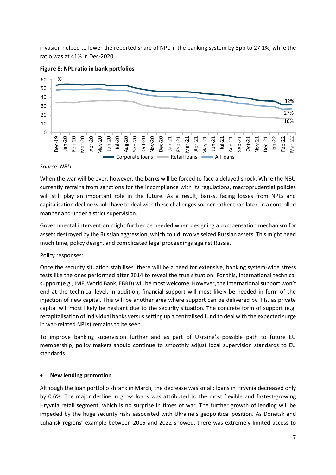invasion helped to lower the reported share of NPL in the banking system by 3pp to 27.1%, while the ratio was at 41% in Dec-2020.



# **Figure 8: NPL ratio in bank portfolios**

### *Source: NBU*

When the war will be over, however, the banks will be forced to face a delayed shock. While the NBU currently refrains from sanctions for the incompliance with its regulations, macroprudential policies will still play an important role in the future. As a result, banks, facing losses from NPLs and capitalisation decline would have to deal with these challenges sooner rather than later, in a controlled manner and under a strict supervision.

Governmental intervention might further be needed when designing a compensation mechanism for assets destroyed by the Russian aggression, which could involve seized Russian assets. This might need much time, policy design, and complicated legal proceedings against Russia.

# Policy responses:

Once the security situation stabilises, there will be a need for extensive, banking system-wide stress tests like the ones performed after 2014 to reveal the true situation. For this, international technical support (e.g., IMF, World Bank, EBRD) will be most welcome. However, the international support won't end at the technical level. In addition, financial support will most likely be needed in form of the injection of new capital. This will be another area where support can be delivered by IFIs, as private capital will most likely be hesitant due to the security situation. The concrete form of support (e.g. recapitalisation of individual banks versus setting up a centralised fund to deal with the expected surge in war-related NPLs) remains to be seen.

To improve banking supervision further and as part of Ukraine's possible path to future EU membership, policy makers should continue to smoothly adjust local supervision standards to EU standards.

# • **New lending promotion**

Although the loan portfolio shrank in March, the decrease was small: loans in Hryvnia decreased only by 0.6%. The major decline in gross loans was attributed to the most flexible and fastest-growing Hryvnia retail segment, which is no surprise in times of war. The further growth of lending will be impeded by the huge security risks associated with Ukraine's geopolitical position. As Donetsk and Luhansk regions' example between 2015 and 2022 showed, there was extremely limited access to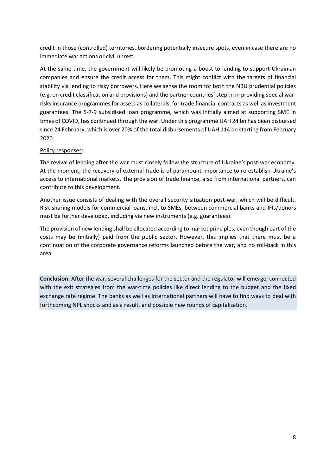credit in those (controlled) territories, bordering potentially insecure spots, even in case there are no immediate war actions or civil unrest.

At the same time, the government will likely be promoting a boost to lending to support Ukrainian companies and ensure the credit access for them. This might conflict with the targets of financial stability via lending to risky borrowers. Here we sense the room for both the NBU prudential policies (e.g. on credit classification and provisions) and the partner countries´ step-in in providing special warrisks insurance programmes for assets as collaterals, for trade financial contracts as well as investment guarantees. The 5-7-9 subsidised loan programme, which was initially aimed at supporting SME in times of COVID, has continued through the war. Under this programme UAH 24 bn has been disbursed since 24 February, which is over 20% of the total disbursements of UAH 114 bn starting from February 2020.

# Policy responses:

The revival of lending after the war must closely follow the structure of Ukraine's post-war economy. At the moment, the recovery of external trade is of paramount importance to re-establish Ukraine's access to international markets. The provision of trade finance, also from international partners, can contribute to this development.

Another issue consists of dealing with the overall security situation post-war, which will be difficult. Risk sharing models for commercial loans, incl. to SMEs, between commercial banks and IFIs/donors must be further developed, including via new instruments (e.g. guarantees).

The provision of new lending shall be allocated according to market principles, even though part of the costs may be (initially) paid from the public sector. However, this implies that there must be a continuation of the corporate governance reforms launched before the war, and no roll-back in this area.

**Conclusion:** After the war, several challenges for the sector and the regulator will emerge, connected with the exit strategies from the war-time policies like direct lending to the budget and the fixed exchange rate regime. The banks as well as international partners will have to find ways to deal with forthcoming NPL shocks and as a result, and possible new rounds of capitalisation.